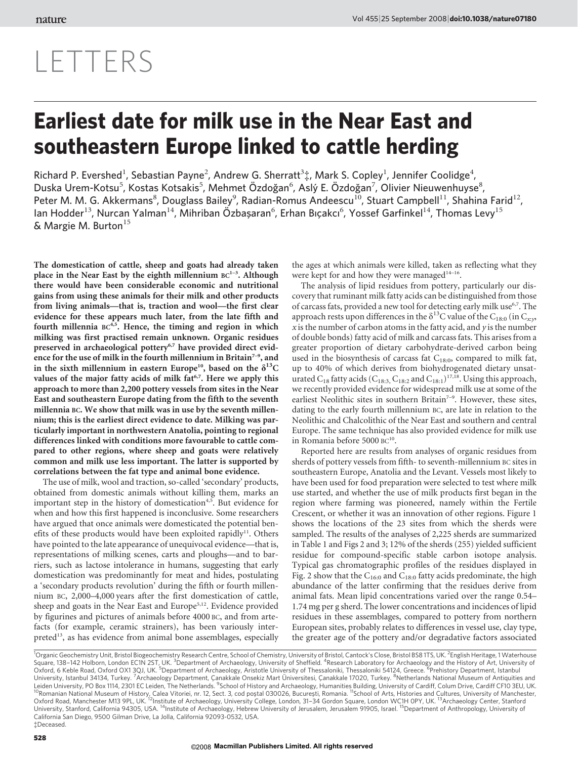## LETTERS

## Earliest date for milk use in the Near East and southeastern Europe linked to cattle herding

Richard P. Evershed<sup>1</sup>, Sebastian Payne<sup>2</sup>, Andrew G. Sherratt<sup>3</sup>‡, Mark S. Copley<sup>1</sup>, Jennifer Coolidge<sup>4</sup>, Duska Urem-Kotsu<sup>5</sup>, Kostas Kotsakis<sup>5</sup>, Mehmet Özdoğan<sup>6</sup>, Aslý E. Özdoğan<sup>7</sup>, Olivier Nieuwenhuyse<sup>8</sup>, Peter M. M. G. Akkermans<sup>8</sup>, Douglass Bailey<sup>9</sup>, Radian-Romus Andeescu<sup>10</sup>, Stuart Campbell<sup>11</sup>, Shahina Farid<sup>12</sup>, lan Hodder<sup>13</sup>, Nurcan Yalman<sup>14</sup>, Mihriban Özbaşaran<sup>6</sup>, Erhan Bıçakcı<sup>6</sup>, Yossef Garfinkel<sup>14</sup>, Thomas Levy<sup>15</sup> & Margie M. Burton $15$ 

The domestication of cattle, sheep and goats had already taken place in the Near East by the eighth millennium  $BC^{1-3}$ . Although there would have been considerable economic and nutritional gains from using these animals for their milk and other products from living animals—that is, traction and wool—the first clear evidence for these appears much later, from the late fifth and fourth millennia  $BC<sup>4,5</sup>$ . Hence, the timing and region in which milking was first practised remain unknown. Organic residues preserved in archaeological pottery<sup>6,7</sup> have provided direct evidence for the use of milk in the fourth millennium in Britain<sup>7-9</sup>, and in the sixth millennium in eastern Europe<sup>10</sup>, based on the  $\delta^{13}C$ values of the major fatty acids of milk fat<sup>6,7</sup>. Here we apply this approach to more than 2,200 pottery vessels from sites in the Near East and southeastern Europe dating from the fifth to the seventh millennia BC. We show that milk was in use by the seventh millennium; this is the earliest direct evidence to date. Milking was particularly important in northwestern Anatolia, pointing to regional differences linked with conditions more favourable to cattle compared to other regions, where sheep and goats were relatively common and milk use less important. The latter is supported by correlations between the fat type and animal bone evidence.

The use of milk, wool and traction, so-called 'secondary' products, obtained from domestic animals without killing them, marks an important step in the history of domestication<sup>4,5</sup>. But evidence for when and how this first happened is inconclusive. Some researchers have argued that once animals were domesticated the potential benefits of these products would have been exploited rapidly<sup>11</sup>. Others have pointed to the late appearance of unequivocal evidence—that is, representations of milking scenes, carts and ploughs—and to barriers, such as lactose intolerance in humans, suggesting that early domestication was predominantly for meat and hides, postulating a 'secondary products revolution' during the fifth or fourth millennium BC, 2,000–4,000 years after the first domestication of cattle, sheep and goats in the Near East and Europe<sup>5,12</sup>. Evidence provided by figurines and pictures of animals before 4000 BC, and from artefacts (for example, ceramic strainers), has been variously interpreted<sup>13</sup>, as has evidence from animal bone assemblages, especially the ages at which animals were killed, taken as reflecting what they were kept for and how they were managed<sup>14–16</sup>.

The analysis of lipid residues from pottery, particularly our discovery that ruminant milk fatty acids can be distinguished from those of carcass fats, provided a new tool for detecting early milk use<sup>6,7</sup>. The approach rests upon differences in the  $\delta^{13}$ C value of the C<sub>18:0</sub> (in C<sub>x:v</sub>,  $x$  is the number of carbon atoms in the fatty acid, and  $y$  is the number of double bonds) fatty acid of milk and carcass fats. This arises from a greater proportion of dietary carbohydrate-derived carbon being used in the biosynthesis of carcass fat  $C_{18:0}$ , compared to milk fat, up to 40% of which derives from biohydrogenated dietary unsaturated  $C_{18}$  fatty acids ( $C_{18:3}$ ,  $C_{18:2}$  and  $C_{18:1}$ )<sup>17,18</sup>. Using this approach, we recently provided evidence for widespread milk use at some of the earliest Neolithic sites in southern Britain<sup>7-9</sup>. However, these sites, dating to the early fourth millennium BC, are late in relation to the Neolithic and Chalcolithic of the Near East and southern and central Europe. The same technique has also provided evidence for milk use in Romania before 5000 BC<sup>10</sup>.

Reported here are results from analyses of organic residues from sherds of pottery vessels from fifth- to seventh-millennium BC sites in southeastern Europe, Anatolia and the Levant. Vessels most likely to have been used for food preparation were selected to test where milk use started, and whether the use of milk products first began in the region where farming was pioneered, namely within the Fertile Crescent, or whether it was an innovation of other regions. Figure 1 shows the locations of the 23 sites from which the sherds were sampled. The results of the analyses of 2,225 sherds are summarized in Table 1 and Figs 2 and 3; 12% of the sherds (255) yielded sufficient residue for compound-specific stable carbon isotope analysis. Typical gas chromatographic profiles of the residues displayed in Fig. 2 show that the  $C_{16:0}$  and  $C_{18:0}$  fatty acids predominate, the high abundance of the latter confirming that the residues derive from animal fats. Mean lipid concentrations varied over the range 0.54– 1.74 mg per g sherd. The lower concentrations and incidences of lipid residues in these assemblages, compared to pottery from northern European sites, probably relates to differences in vessel use, clay type, the greater age of the pottery and/or degradative factors associated

<sup>&</sup>lt;sup>1</sup>Organic Geochemistry Unit, Bristol Biogeochemistry Research Centre, School of Chemistry, University of Bristol, Cantock's Close, Bristol BS8 1TS, UK. <sup>2</sup>English Heritage, 1 Waterhouse Square, 138–142 Holborn, London EC1N 2ST, UK. <sup>3</sup>Department of Archaeology, University of Sheffield. <sup>4</sup>Research Laboratory for Archaeology and the History of Art, University of<br>Oxford, 6 Keble Road, Oxford OX1 3QJ, UK. <sup>5</sup> University, Istanbul 34134, Turkey. <sup>7</sup>Archaeology Department, Canakkale Onsekiz Mart Üniversitesi, Canakkale 17020, Turkey. <sup>8</sup>Netherlands National Museum of Antiquities and Leiden University, PO Box 1114, 2301 EC Leiden, The Netherlands. <sup>9</sup>School of History and Archaeology, Humanities Building, University of Cardiff, Colum Drive, Cardiff CF10 3EU, UK.<br><sup>10</sup>Romanian National Museum of History, Oxford Road, Manchester M13 9PL, UK. <sup>12</sup>Institute of Archaeology, University College, London, 31-34 Gordon Square, London WC1H 0PY, UK. <sup>13</sup>Archaeology Center, Stanford University, Stanford, California 94305, USA. <sup>14</sup>Institute of Archaeology, Hebrew University of Jerusalem, Jerusalem 91905, Israel. <sup>15</sup>Department of Anthropology, University of California San Diego, 9500 Gilman Drive, La Jolla, California 92093-0532, USA. {Deceased.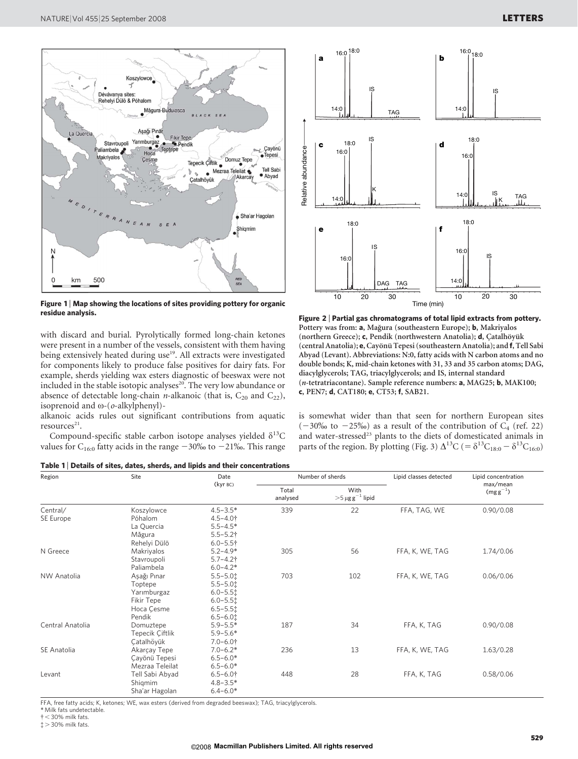

Figure 1 | Map showing the locations of sites providing pottery for organic residue analysis.

with discard and burial. Pyrolytically formed long-chain ketones were present in a number of the vessels, consistent with them having being extensively heated during use<sup>19</sup>. All extracts were investigated for components likely to produce false positives for dairy fats. For example, sherds yielding wax esters diagnostic of beeswax were not included in the stable isotopic analyses<sup>20</sup>. The very low abundance or absence of detectable long-chain *n*-alkanoic (that is,  $C_{20}$  and  $C_{22}$ ), isoprenoid and  $\omega$ -( $o$ -alkylphenyl)-

alkanoic acids rules out significant contributions from aquatic  $resources<sup>21</sup>$ .

Compound-specific stable carbon isotope analyses yielded  $\delta^{13}C$ values for C<sub>16:0</sub> fatty acids in the range  $-30\%$  to  $-21\%$ . This range





Figure 2 <sup>|</sup> Partial gas chromatograms of total lipid extracts from pottery. Pottery was from: a, Mağura (southeastern Europe); b, Makriyalos (northern Greece); c, Pendik (northwestern Anatolia); d, Çatalhöyük (central Anatolia); e, Cayönü Tepesi (southeastern Anatolia); and f, Tell Sabi Abyad (Levant). Abbreviations: N:0, fatty acids with N carbon atoms and no double bonds; K, mid-chain ketones with 31, 33 and 35 carbon atoms; DAG, diacylglycerols; TAG, triacylglycerols; and IS, internal standard (n-tetratriacontane). Sample reference numbers: a, MAG25; b, MAK100; c, PEN7; d, CAT180; e, CT53; f, SAB21.

is somewhat wider than that seen for northern European sites  $(-30\% \text{ to } -25\%)$  as a result of the contribution of C<sub>4</sub> (ref. 22) and water-stressed<sup>23</sup> plants to the diets of domesticated animals in parts of the region. By plotting (Fig. 3)  $\Delta^{13}C$  (=  $\delta^{13}C_{18:0} - \delta^{13}C_{16:0}$ )

| Region           | Site            | Date<br>(kyr BC) | Number of sherds  |                                                        | Lipid classes detected | Lipid concentration      |
|------------------|-----------------|------------------|-------------------|--------------------------------------------------------|------------------------|--------------------------|
|                  |                 |                  | Total<br>analysed | With<br>$>\!\!5\,\mu\mathrm{g}\,\mathrm{g}^{-1}$ lipid |                        | max/mean<br>$(mgg^{-1})$ |
| Central/         | Koszylowce      | $4.5 - 3.5*$     | 339               | 22                                                     | FFA, TAG, WE           | 0.90/0.08                |
| SE Europe        | Póhalom         | $4.5 - 4.0$ †    |                   |                                                        |                        |                          |
|                  | La Quercia      | $5.5 - 4.5*$     |                   |                                                        |                        |                          |
|                  | Măgura          | $5.5 - 5.2$ †    |                   |                                                        |                        |                          |
|                  | Rehelyi Dülö    | $6.0 - 5.5 +$    |                   |                                                        |                        |                          |
| N Greece         | Makriyalos      | $5.2 - 4.9*$     | 305               | 56                                                     | FFA, K, WE, TAG        | 1.74/0.06                |
|                  | Stavroupoli     | $5.7 - 4.2$ †    |                   |                                                        |                        |                          |
|                  | Paliambela      | $6.0 - 4.2*$     |                   |                                                        |                        |                          |
| NW Anatolia      | Aşağı Pınar     | $5.5 - 5.01$     | 703               | 102                                                    | FFA, K, WE, TAG        | 0.06/0.06                |
|                  | Toptepe         | $5.5 - 5.0$      |                   |                                                        |                        |                          |
|                  | Yarımburgaz     | $6.0 - 5.5$      |                   |                                                        |                        |                          |
|                  | Fikir Tepe      | $6.0 - 5.51$     |                   |                                                        |                        |                          |
|                  | Hoca Çesme      | $6.5 - 5.5$      |                   |                                                        |                        |                          |
|                  | Pendik          | $6.5 - 6.01$     |                   |                                                        |                        |                          |
| Central Anatolia | Domuztepe       | $5.9 - 5.5*$     | 187               | 34                                                     | FFA, K, TAG            | 0.90/0.08                |
|                  | Tepecik Çiftlik | $5.9 - 5.6*$     |                   |                                                        |                        |                          |
|                  | Catalhöyük      | $7.0 - 6.0$ †    |                   |                                                        |                        |                          |
| SE Anatolia      | Akarçay Tepe    | $7.0 - 6.2*$     | 236               | 13                                                     | FFA, K, WE, TAG        | 1.63/0.28                |
|                  | Çayönü Tepesi   | $6.5 - 6.0*$     |                   |                                                        |                        |                          |
|                  | Mezraa Teleilat | $6.5 - 6.0*$     |                   |                                                        |                        |                          |
| Levant           | Tell Sabi Abyad | $6.5 - 6.0$ †    | 448               | 28                                                     | FFA, K, TAG            | 0.58/0.06                |
|                  | Shigmim         | $4.8 - 3.5*$     |                   |                                                        |                        |                          |
|                  | Sha'ar Hagolan  | $6.4 - 6.0*$     |                   |                                                        |                        |                          |

FFA, free fatty acids; K, ketones; WE, wax esters (derived from degraded beeswax); TAG, triacylglycerols.

\* Milk fats undetectable.

 $\ddagger$  > 30% milk fats.

 $\dagger$  < 30% milk fats.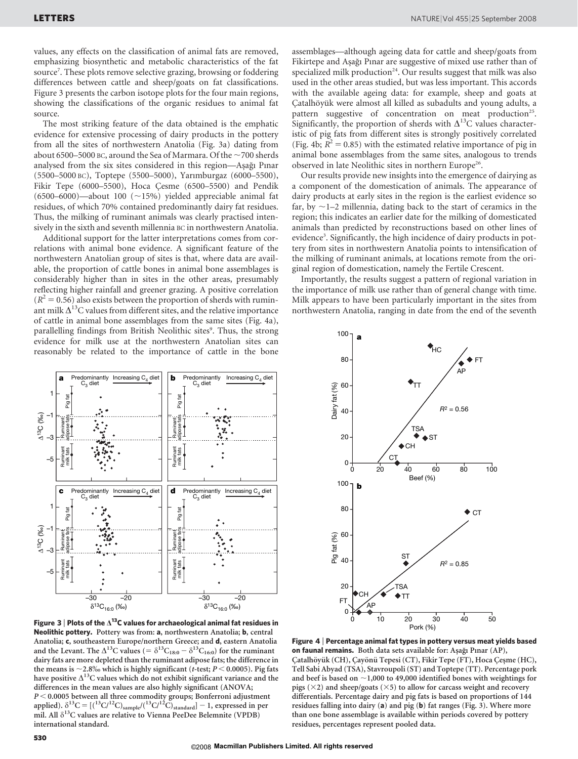values, any effects on the classification of animal fats are removed, emphasizing biosynthetic and metabolic characteristics of the fat source<sup>7</sup> . These plots remove selective grazing, browsing or foddering differences between cattle and sheep/goats on fat classifications. Figure 3 presents the carbon isotope plots for the four main regions, showing the classifications of the organic residues to animal fat source.

The most striking feature of the data obtained is the emphatic evidence for extensive processing of dairy products in the pottery from all the sites of northwestern Anatolia (Fig. 3a) dating from about 6500–5000 BC, around the Sea of Marmara. Of the  $\sim$  700 sherds analysed from the six sites considered in this region—Aşağı Pınar (5500–5000 BC), Toptepe (5500–5000), Yarımburgaz (6000–5500), Fikir Tepe (6000–5500), Hoca Cesme (6500–5500) and Pendik (6500–6000)—about 100 ( $\sim$ 15%) yielded appreciable animal fat residues, of which 70% contained predominantly dairy fat residues. Thus, the milking of ruminant animals was clearly practised intensively in the sixth and seventh millennia BC in northwestern Anatolia.

Additional support for the latter interpretations comes from correlations with animal bone evidence. A significant feature of the northwestern Anatolian group of sites is that, where data are available, the proportion of cattle bones in animal bone assemblages is considerably higher than in sites in the other areas, presumably reflecting higher rainfall and greener grazing. A positive correlation  $(R^2 = 0.56)$  also exists between the proportion of sherds with ruminant milk  $\Delta^{13}$ C values from different sites, and the relative importance of cattle in animal bone assemblages from the same sites (Fig. 4a), parallelling findings from British Neolithic sites<sup>9</sup>. Thus, the strong evidence for milk use at the northwestern Anatolian sites can reasonably be related to the importance of cattle in the bone



Figure 3 | Plots of the  $\Delta^{13}$ C values for archaeological animal fat residues in Neolithic pottery. Pottery was from: a, northwestern Anatolia; b, central Anatolia; c, southeastern Europe/northern Greece; and d, eastern Anatolia and the Levant. The  $\Delta^{13}$ C values (=  $\delta^{13}C_{18:0} - \delta^{13}C_{16:0}$ ) for the ruminant dairy fats are more depleted than the ruminant adipose fats; the difference in the means is  $\sim$  2.8% which is highly significant (t-test; P < 0.0005). Pig fats have positive  $\Delta^{13}$ C values which do not exhibit significant variance and the differences in the mean values are also highly significant (ANOVA;  $P < 0.0005$  between all three commodity groups; Bonferroni adjustment applied).  $\delta^{13}C = [({}^{13}C/{}^{12}C)_{sample}/({}^{13}C/{}^{12}C)_{standard}] - 1$ , expressed in per mil. All $\delta^{13}C$  values are relative to Vienna PeeDee Belemnite (VPDB) international standard.

assemblages—although ageing data for cattle and sheep/goats from Fikirtepe and Aşağı Pınar are suggestive of mixed use rather than of specialized milk production<sup>24</sup>. Our results suggest that milk was also used in the other areas studied, but was less important. This accords with the available ageing data: for example, sheep and goats at Catalhöyük were almost all killed as subadults and young adults, a pattern suggestive of concentration on meat production<sup>25</sup>. Significantly, the proportion of sherds with  $\Delta^{13}$ C values characteristic of pig fats from different sites is strongly positively correlated (Fig. 4b;  $R^2 = 0.85$ ) with the estimated relative importance of pig in animal bone assemblages from the same sites, analogous to trends observed in late Neolithic sites in northern Europe<sup>26</sup>.

Our results provide new insights into the emergence of dairying as a component of the domestication of animals. The appearance of dairy products at early sites in the region is the earliest evidence so far, by  $\sim$ 1–2 millennia, dating back to the start of ceramics in the region; this indicates an earlier date for the milking of domesticated animals than predicted by reconstructions based on other lines of evidence<sup>3</sup>. Significantly, the high incidence of dairy products in pottery from sites in northwestern Anatolia points to intensification of the milking of ruminant animals, at locations remote from the original region of domestication, namely the Fertile Crescent.

Importantly, the results suggest a pattern of regional variation in the importance of milk use rather than of general change with time. Milk appears to have been particularly important in the sites from northwestern Anatolia, ranging in date from the end of the seventh



Figure 4 <sup>|</sup> Percentage animal fat types in pottery versus meat yields based on faunal remains. Both data sets available for: Aşağı Pınar (AP), Çatalhöyük (CH), Çayönü Tepesi (CT), Fikir Tepe (FT), Hoca Çeşme (HC), Tell Sabi Abyad (TSA), Stavroupoli (ST) and Toptepe (TT). Percentage pork and beef is based on  $\sim$ 1,000 to 49,000 identified bones with weightings for pigs ( $\times$ 2) and sheep/goats ( $\times$ 5) to allow for carcass weight and recovery differentials. Percentage dairy and pig fats is based on proportions of 144 residues falling into dairy (a) and pig (b) fat ranges (Fig. 3). Where more than one bone assemblage is available within periods covered by pottery residues, percentages represent pooled data.